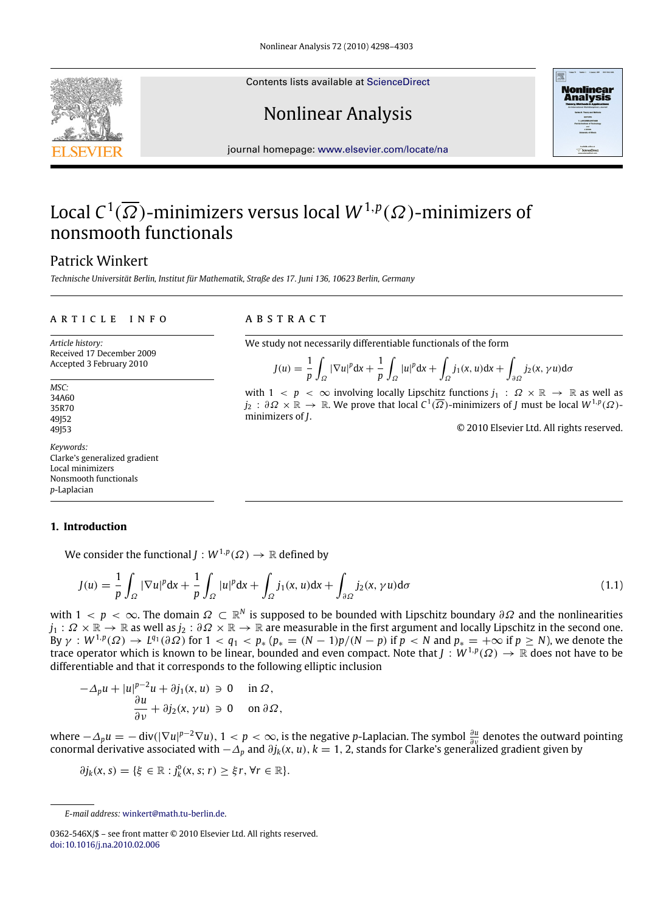Contents lists available at [ScienceDirect](http://www.elsevier.com/locate/na)

# Nonlinear Analysis



journal homepage: [www.elsevier.com/locate/na](http://www.elsevier.com/locate/na)

# Local  $C^1(\overline{\Omega})$ -minimizers versus local  $W^{1,p}(\Omega)$ -minimizers of nonsmooth functionals

# Patrick Winkert

*Technische Universität Berlin, Institut für Mathematik, Straße des 17. Juni 136, 10623 Berlin, Germany*

#### ARTICLE INFO

*Article history:* Received 17 December 2009 Accepted 3 February 2010

*MSC:* 34A60 35R70 49152 49153

*Keywords:* Clarke's generalized gradient Local minimizers Nonsmooth functionals *p*-Laplacian

#### **1. Introduction**

We consider the functional  $J:W^{1,p}(\varOmega)\rightarrow\mathbb{R}$  defined by

$$
J(u) = \frac{1}{p} \int_{\Omega} |\nabla u|^p dx + \frac{1}{p} \int_{\Omega} |u|^p dx + \int_{\Omega} j_1(x, u) dx + \int_{\partial \Omega} j_2(x, \gamma u) d\sigma \tag{1.1}
$$

with  $1 < p < \infty$ . The domain  $\Omega \subset \mathbb{R}^N$  is supposed to be bounded with Lipschitz boundary  $\partial \Omega$  and the nonlinearities  $j_1: \Omega \times \mathbb{R} \to \mathbb{R}$  as well as  $j_2: \partial \Omega \times \mathbb{R} \to \mathbb{R}$  are measurable in the first argument and locally Lipschitz in the second one. By  $\gamma: W^{1,p}(\Omega) \to L^{q_1}(\partial \Omega)$  for  $1 < q_1 < p_*$   $(p_* = (N-1)p/(N-p)$  if  $p < N$  and  $p_* = +\infty$  if  $p \ge N$ ), we denote the trace operator which is known to be linear, bounded and even compact. Note that  $J:W^{1,p}(\Omega)\to\mathbb{R}$  does not have to be differentiable and that it corresponds to the following elliptic inclusion

$$
-\Delta_p u + |u|^{p-2}u + \partial j_1(x, u) \ni 0 \quad \text{in } \Omega,
$$
  

$$
\frac{\partial u}{\partial v} + \partial j_2(x, \gamma u) \ni 0 \quad \text{on } \partial \Omega,
$$

where  $-\Delta_p u = -\text{div}(|\nabla u|^{p-2} \nabla u)$ , 1 < *p* < ∞, is the negative *p*-Laplacian. The symbol  $\frac{\partial u}{\partial v}$  denotes the outward pointing conormal derivative associated with −∆*<sup>p</sup>* and ∂*jk*(*x*, *u*), *k* = 1, 2, stands for Clarke's generalized gradient given by

$$
\partial j_k(x,s) = \{\xi \in \mathbb{R} : j_k^0(x,s;r) \geq \xi r, \forall r \in \mathbb{R}\}.
$$

### a b s t r a c t

We study not necessarily differentiable functionals of the form

$$
J(u) = \frac{1}{p} \int_{\Omega} |\nabla u|^p dx + \frac{1}{p} \int_{\Omega} |u|^p dx + \int_{\Omega} j_1(x, u) dx + \int_{\partial \Omega} j_2(x, \gamma u) d\sigma
$$

with  $1 < p < \infty$  involving locally Lipschitz functions  $j_1 : \Omega \times \mathbb{R} \to \mathbb{R}$  as well as  $j_2$  :  $\partial\Omega\times\mathbb{R}\to\mathbb{R}$ . We prove that local  $C^1(\overline{\Omega})$ -minimizers of *J* must be local  $W^{1,p}(\Omega)$ minimizers of *J*.

© 2010 Elsevier Ltd. All rights reserved.

*E-mail address:* [winkert@math.tu-berlin.de.](mailto:winkert@math.tu-berlin.de)

<sup>0362-546</sup>X/\$ – see front matter © 2010 Elsevier Ltd. All rights reserved. [doi:10.1016/j.na.2010.02.006](http://dx.doi.org/10.1016/j.na.2010.02.006)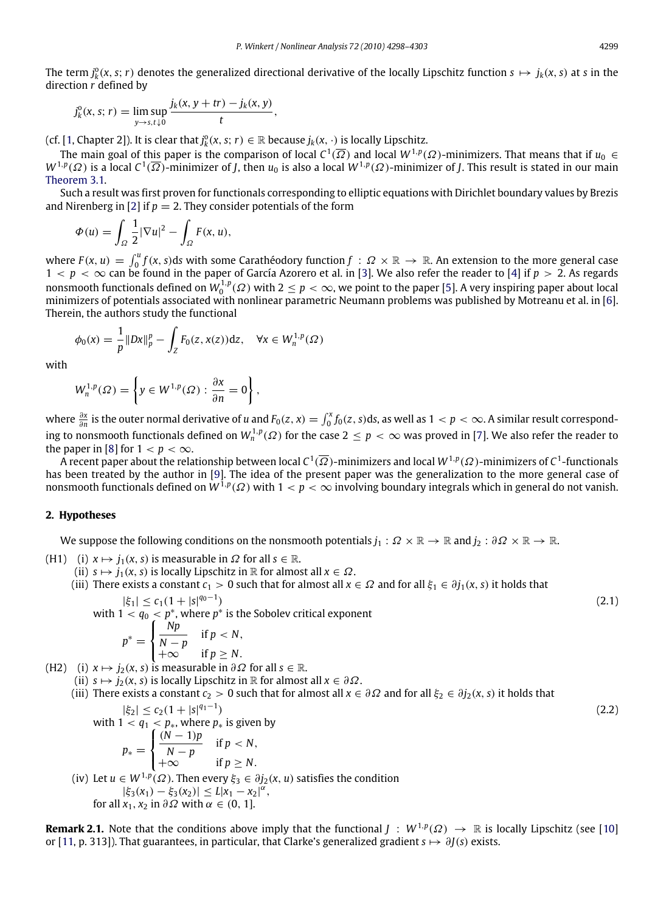The term  $j_k^0(x, s; r)$  denotes the generalized directional derivative of the locally Lipschitz function  $s \mapsto j_k(x, s)$  at *s* in the direction *r* defined by

$$
j_k^0(x, s; r) = \limsup_{y \to s, t \downarrow 0} \frac{j_k(x, y + tr) - j_k(x, y)}{t},
$$

(cf. [\[1,](#page-4-0) Chapter 2]). It is clear that  $j_k^0(x, s; r) \in \mathbb{R}$  because  $j_k(x, \cdot)$  is locally Lipschitz.

The main goal of this paper is the comparison of local  $C^1(\overline\Omega)$  and local  $W^{1,p}(\Omega)$ -minimizers. That means that if  $u_0\in$  $W^{1,p}(\varOmega)$  is a local  $C^1(\overline{\varOmega})$ -minimizer of *J*, then  $u_0$  is also a local  $W^{1,p}(\varOmega)$ -minimizer of *J*. This result is stated in our main [Theorem 3.1.](#page-2-0)

Such a result was first proven for functionals corresponding to elliptic equations with Dirichlet boundary values by Brezis and Nirenberg in [\[2\]](#page-4-1) if  $p = 2$ . They consider potentials of the form

$$
\Phi(u) = \int_{\Omega} \frac{1}{2} |\nabla u|^2 - \int_{\Omega} F(x, u),
$$

where  $F(x, u) = \int_0^u f(x, s) ds$  with some Carathéodory function  $f : \Omega \times \mathbb{R} \to \mathbb{R}$ . An extension to the more general case  $1 < p < ∞$  can be found in the paper of García Azorero et al. in [\[3\]](#page-4-2). We also refer the reader to [\[4\]](#page-4-3) if  $p > 2$ . As regards nonsmooth functionals defined on  $W_0^{1,p}(\Omega)$  with  $2\leq p<\infty$ , we point to the paper [\[5\]](#page-4-4). A very inspiring paper about local minimizers of potentials associated with nonlinear parametric Neumann problems was published by Motreanu et al. in [\[6\]](#page-4-5). Therein, the authors study the functional

$$
\phi_0(x) = \frac{1}{p} \|Dx\|_p^p - \int_Z F_0(z, x(z)) \, dz, \quad \forall x \in W_n^{1,p}(\Omega)
$$

with

$$
W_n^{1,p}(\Omega) = \left\{ y \in W^{1,p}(\Omega) : \frac{\partial x}{\partial n} = 0 \right\},\
$$

where  $\frac{\partial x}{\partial n}$  is the outer normal derivative of *u* and  $F_0(z, x) = \int_0^x f_0(z, s)ds$ , as well as  $1 < p < \infty$ . A similar result corresponding to nonsmooth functionals defined on  $W^{1,p}_n(\varOmega)$  for the case  $2\leq p<\infty$  was proved in [\[7\]](#page-4-6). We also refer the reader to the paper in [\[8\]](#page-4-7) for  $1 < p < \infty$ .

A recent paper about the relationship between local  $C^1(\overline\Omega)$ -minimizers and local  $W^{1,p}(\Omega)$ -minimizers of  $C^1$ -functionals has been treated by the author in [\[9\]](#page-4-8). The idea of the present paper was the generalization to the more general case of nonsmooth functionals defined on  $W^{1,p}(\varOmega)$  with  $1 < p < \infty$  involving boundary integrals which in general do not vanish.

### **2. Hypotheses**

We suppose the following conditions on the nonsmooth potentials  $j_1 : \Omega \times \mathbb{R} \to \mathbb{R}$  and  $j_2 : \partial \Omega \times \mathbb{R} \to \mathbb{R}$ .

- (H1) (i)  $x \mapsto j_1(x, s)$  is measurable in  $\Omega$  for all  $s \in \mathbb{R}$ .
	- (ii)  $s \mapsto j_1(x, s)$  is locally Lipschitz in R for almost all  $x \in \Omega$ .
	- (iii) There exists a constant  $c_1 > 0$  such that for almost all  $x \in \Omega$  and for all  $\xi_1 \in \partial j_1(x, s)$  it holds that  $|\xi_1| \leq c_1(1+|s|^{q_0-1})$  $)$  (2.1)

with  $1 < q_0 < p^*$ , where  $p^*$  is the Sobolev critical exponent

$$
p^* = \begin{cases} \frac{Np}{N-p} & \text{if } p < N, \\ +\infty & \text{if } p \ge N. \end{cases}
$$

(H2) (i)  $x \mapsto j_2(x, s)$  is measurable in  $\partial \Omega$  for all  $s \in \mathbb{R}$ .

- (ii)  $s \mapsto j_2(x, s)$  is locally Lipschitz in R for almost all  $x \in \partial \Omega$ .
- (iii) There exists a constant  $c_2 > 0$  such that for almost all  $x \in \partial\Omega$  and for all  $\xi_2 \in \partial j_2(x, s)$  it holds that

$$
|\xi_2| \le c_2 (1 + |s|^{q_1 - 1})
$$
  
\nwith  $1 < q_1 < p_*$ , where  $p_*$  is given by  
\n
$$
p_* = \begin{cases} \frac{(N-1)p}{N-p} & \text{if } p < N, \\ +\infty & \text{if } p \ge N. \end{cases}
$$
  
\n(iv) Let  $u \in W^{1,p}(\Omega)$ . Then every  $\xi_3 \in \partial j_2(x, u)$  satisfies the condition  
\n $|\xi_3(x_1) - \xi_3(x_2)| \le L|x_1 - x_2|^{\alpha}$ , (2.2)

for all  $x_1, x_2$  in  $\partial \Omega$  with  $\alpha \in (0, 1]$ .

**Remark 2.1.** Note that the conditions above imply that the functional  $J: W^{1,p}(\Omega) \to \mathbb{R}$  is locally Lipschitz (see [\[10\]](#page-4-9) or [\[11,](#page-4-10) p. 313]). That guarantees, in particular, that Clarke's generalized gradient *s* 7→ ∂*J*(*s*) exists.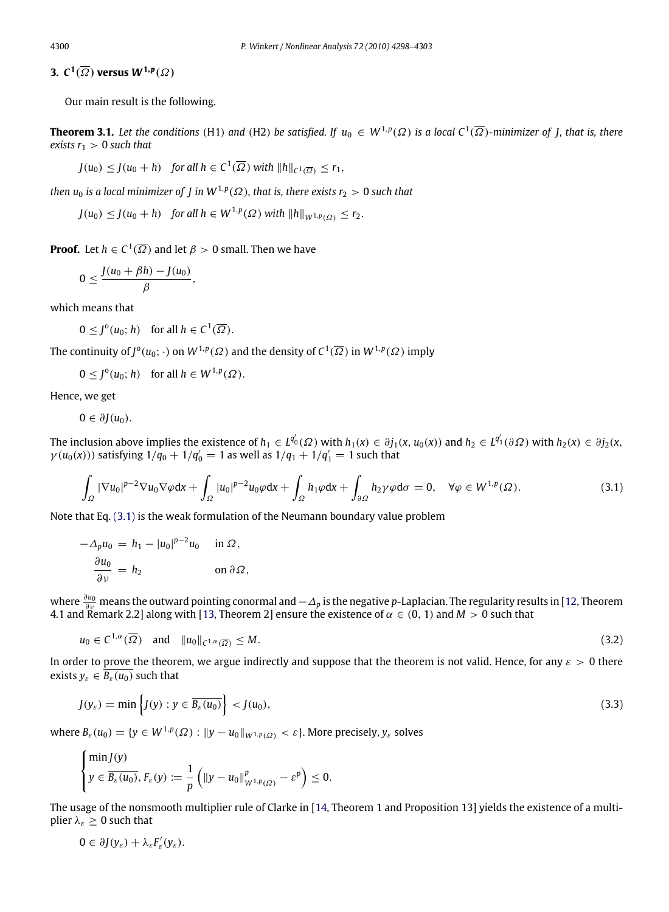**3.**  $C^1(\overline{\Omega})$  versus  $W^{1,p}(\Omega)$ 

Our main result is the following.

**Theorem 3.1.** Let the conditions (H1) and (H2) be satisfied. If  $u_0 \in W^{1,p}(\Omega)$  is a local  $C^1(\overline{\Omega})$ -minimizer of J, that is, there *exists*  $r_1 > 0$  *such that* 

<span id="page-2-0"></span>
$$
J(u_0) \le J(u_0 + h) \quad \text{for all } h \in C^1(\overline{\Omega}) \text{ with } ||h||_{C^1(\overline{\Omega})} \le r_1,
$$

*then*  $u_0$  *is a local minimizer of J in W*<sup>1,p</sup>( $\Omega$ ), that is, there exists  $r_2 > 0$  such that

*J*(*u*<sub>0</sub>) ≤ *J*(*u*<sub>0</sub> + *h*) *for all h* ∈ *W*<sup>1,*p*</sup>(Ω) with  $||h||_{W^{1,p}(\Omega)} \le r_2$ .

**Proof.** Let  $h \in C^1(\overline{\Omega})$  and let  $\beta > 0$  small. Then we have

$$
0\leq \frac{J(u_0+\beta h)-J(u_0)}{\beta},
$$

which means that

 $0 \leq J^{\circ}(u_0; h)$  for all  $h \in C^1(\overline{\Omega})$ .

The continuity of  $J^0(u_0; \cdot)$  on  $W^{1,p}(\varOmega)$  and the density of  $C^1(\overline{\varOmega})$  in  $W^{1,p}(\varOmega)$  imply

 $0 \leq J^{\circ}(u_0; h)$  for all  $h \in W^{1,p}(\Omega)$ .

Hence, we get

 $0 \in \partial I(u_0)$ .

The inclusion above implies the existence of  $h_1 \in L^{q_0'}(\varOmega)$  with  $h_1(x) \in \partial j_1(x,u_0(x))$  and  $h_2 \in L^{q_1'}(\partial \varOmega)$  with  $h_2(x) \in \partial j_2(x,x)$  $\gamma(u_0(x))$ ) satisfying  $1/q_0 + 1/q'_0 = 1$  as well as  $1/q_1 + 1/q'_1 = 1$  such that

<span id="page-2-1"></span>
$$
\int_{\Omega} |\nabla u_0|^{p-2} \nabla u_0 \nabla \varphi dx + \int_{\Omega} |u_0|^{p-2} u_0 \varphi dx + \int_{\Omega} h_1 \varphi dx + \int_{\partial \Omega} h_2 \gamma \varphi d\sigma = 0, \quad \forall \varphi \in W^{1,p}(\Omega). \tag{3.1}
$$

Note that Eq. [\(3.1\)](#page-2-1) is the weak formulation of the Neumann boundary value problem

$$
-\Delta_p u_0 = h_1 - |u_0|^{p-2} u_0 \quad \text{in } \Omega,
$$
  

$$
\frac{\partial u_0}{\partial \nu} = h_2 \quad \text{on } \partial \Omega,
$$

where  $\frac{\partial u_0}{\partial y}$  means the outward pointing conormal and  $-\Delta_p$  is the negative *p*-Laplacian. The regularity results in [\[12,](#page-5-0) Theorem 4.1 and Remark 2.2] along with [\[13,](#page-5-1) Theorem 2] ensure the existence of  $\alpha \in (0, 1)$  and  $M > 0$  such that

<span id="page-2-2"></span>
$$
u_0 \in C^{1,\alpha}(\overline{\Omega}) \quad \text{and} \quad \|u_0\|_{C^{1,\alpha}(\overline{\Omega})} \le M. \tag{3.2}
$$

In order to prove the theorem, we argue indirectly and suppose that the theorem is not valid. Hence, for any  $\varepsilon > 0$  there exists  $y_{\varepsilon} \in \overline{B_{\varepsilon}(u_0)}$  such that

<span id="page-2-3"></span>
$$
J(y_{\varepsilon}) = \min\left\{J(y) : y \in \overline{B_{\varepsilon}(u_0)}\right\} < J(u_0),\tag{3.3}
$$

where  $B_\varepsilon(u_0) = \{y \in W^{1,p}(\Omega) : \|y - u_0\|_{W^{1,p}(\Omega)} < \varepsilon\}.$  More precisely,  $y_\varepsilon$  solves

$$
\begin{cases}\n\min J(y) \\
y \in \overline{B_{\varepsilon}(u_0)}, F_{\varepsilon}(y) := \frac{1}{p} \left( \|y - u_0\|_{W^{1,p}(\Omega)}^p - \varepsilon^p \right) \leq 0.\n\end{cases}
$$

The usage of the nonsmooth multiplier rule of Clarke in [\[14,](#page-5-2) Theorem 1 and Proposition 13] yields the existence of a multiplier  $\lambda_{\varepsilon} > 0$  such that

$$
0\in \partial J(y_\varepsilon)+\lambda_\varepsilon F_\varepsilon'(y_\varepsilon).
$$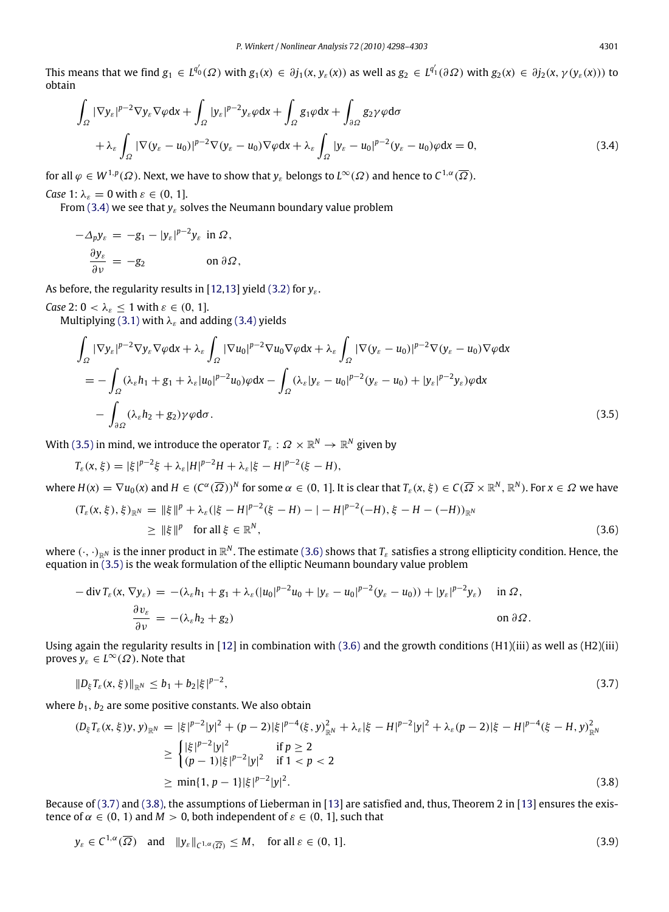This means that we find  $g_1 \in L^{q_0'}(\varOmega)$  with  $g_1(x) \in \partial j_1(x,y_\varepsilon(x))$  as well as  $g_2 \in L^{q_1'}(\partial \varOmega)$  with  $g_2(x) \in \partial j_2(x,\gamma(y_\varepsilon(x)))$  to obtain

<span id="page-3-0"></span>
$$
\int_{\Omega} |\nabla y_{\varepsilon}|^{p-2} \nabla y_{\varepsilon} \nabla \varphi dx + \int_{\Omega} |y_{\varepsilon}|^{p-2} y_{\varepsilon} \varphi dx + \int_{\Omega} g_1 \varphi dx + \int_{\partial \Omega} g_2 \gamma \varphi d\sigma \n+ \lambda_{\varepsilon} \int_{\Omega} |\nabla (y_{\varepsilon} - u_0)|^{p-2} \nabla (y_{\varepsilon} - u_0) \nabla \varphi dx + \lambda_{\varepsilon} \int_{\Omega} |y_{\varepsilon} - u_0|^{p-2} (y_{\varepsilon} - u_0) \varphi dx = 0,
$$
\n(3.4)

for all  $\varphi\in W^{1,p}(\varOmega).$  Next, we have to show that  $y_\varepsilon$  belongs to  $L^\infty(\varOmega)$  and hence to  $\mathcal{C}^{1,\alpha}(\overline{\varOmega}).$ 

*Case* 1:  $\lambda_{\varepsilon} = 0$  with  $\varepsilon \in (0, 1]$ .

From [\(3.4\)](#page-3-0) we see that  $y_{\varepsilon}$  solves the Neumann boundary value problem

$$
-\Delta_p y_{\varepsilon} = -g_1 - |y_{\varepsilon}|^{p-2} y_{\varepsilon} \text{ in } \Omega,
$$
  

$$
\frac{\partial y_{\varepsilon}}{\partial v} = -g_2 \qquad \text{on } \partial \Omega,
$$

As before, the regularity results in [\[12,](#page-5-0)[13\]](#page-5-1) yield [\(3.2\)](#page-2-2) for *γ<sub>ε</sub>*.

*Case* 2:  $0 < \lambda_{\varepsilon} \leq 1$  with  $\varepsilon \in (0, 1]$ .

Multiplying [\(3.1\)](#page-2-1) with  $\lambda_{\varepsilon}$  and adding [\(3.4\)](#page-3-0) yields

<span id="page-3-1"></span>
$$
\int_{\Omega} |\nabla y_{\varepsilon}|^{p-2} \nabla y_{\varepsilon} \nabla \varphi dx + \lambda_{\varepsilon} \int_{\Omega} |\nabla u_{0}|^{p-2} \nabla u_{0} \nabla \varphi dx + \lambda_{\varepsilon} \int_{\Omega} |\nabla (y_{\varepsilon} - u_{0})|^{p-2} \nabla (y_{\varepsilon} - u_{0}) \nabla \varphi dx \n= - \int_{\Omega} (\lambda_{\varepsilon} h_{1} + g_{1} + \lambda_{\varepsilon} |u_{0}|^{p-2} u_{0}) \varphi dx - \int_{\Omega} (\lambda_{\varepsilon} |y_{\varepsilon} - u_{0}|^{p-2} (y_{\varepsilon} - u_{0}) + |y_{\varepsilon}|^{p-2} y_{\varepsilon}) \varphi dx \n- \int_{\partial \Omega} (\lambda_{\varepsilon} h_{2} + g_{2}) \gamma \varphi d\sigma.
$$
\n(3.5)

With [\(3.5\)](#page-3-1) in mind, we introduce the operator  $T_\varepsilon:\varOmega\times\mathbb{R}^N\to\mathbb{R}^N$  given by

$$
T_{\varepsilon}(x,\xi) = |\xi|^{p-2}\xi + \lambda_{\varepsilon}|H|^{p-2}H + \lambda_{\varepsilon}|\xi - H|^{p-2}(\xi - H),
$$

where  $H(x) = \nabla u_0(x)$  and  $H \in (C^{\alpha}(\overline{\Omega}))^N$  for some  $\alpha \in (0, 1]$ . It is clear that  $T_{\varepsilon}(x, \xi) \in C(\overline{\Omega} \times \mathbb{R}^N, \mathbb{R}^N)$ . For  $x \in \Omega$  we have

<span id="page-3-2"></span>
$$
(T_{\varepsilon}(x,\xi),\xi)_{\mathbb{R}^N} = \|\xi\|^p + \lambda_{\varepsilon}(|\xi - H|^{p-2}(\xi - H) - | - H|^{p-2}(-H), \xi - H - (-H))_{\mathbb{R}^N}
$$
  
\n
$$
\geq \|\xi\|^p \quad \text{for all } \xi \in \mathbb{R}^N,
$$
\n(3.6)

where  $(\cdot,\cdot)_{\R^N}$  is the inner product in  $\R^N.$  The estimate [\(3.6\)](#page-3-2) shows that  $T_\varepsilon$  satisfies a strong ellipticity condition. Hence, the equation in [\(3.5\)](#page-3-1) is the weak formulation of the elliptic Neumann boundary value problem

$$
-\operatorname{div} T_{\varepsilon}(x, \nabla y_{\varepsilon}) = -(\lambda_{\varepsilon} h_1 + g_1 + \lambda_{\varepsilon} (|u_0|^{p-2} u_0 + |y_{\varepsilon} - u_0|^{p-2} (y_{\varepsilon} - u_0)) + |y_{\varepsilon}|^{p-2} y_{\varepsilon}) \quad \text{in } \Omega, \frac{\partial v_{\varepsilon}}{\partial v} = -(\lambda_{\varepsilon} h_2 + g_2) \quad \text{on } \partial \Omega.
$$

Using again the regularity results in [\[12\]](#page-5-0) in combination with  $(3.6)$  and the growth conditions  $(H1)(iii)$  as well as  $(H2)(iii)$ proves  $y_{\varepsilon} \in L^{\infty}(\Omega)$ . Note that

<span id="page-3-3"></span>
$$
||D_{\xi}T_{\varepsilon}(x,\xi)||_{\mathbb{R}^{N}} \leq b_{1} + b_{2}|\xi|^{p-2}, \tag{3.7}
$$

where  $b_1$ ,  $b_2$  are some positive constants. We also obtain

$$
(D_{\xi}T_{\varepsilon}(x,\xi)y,y)_{\mathbb{R}^{N}} = |\xi|^{p-2}|y|^{2} + (p-2)|\xi|^{p-4}(\xi,y)_{\mathbb{R}^{N}}^{2} + \lambda_{\varepsilon}|\xi-H|^{p-2}|y|^{2} + \lambda_{\varepsilon}(p-2)|\xi-H|^{p-4}(\xi-H,y)_{\mathbb{R}^{N}}^{2}
$$
  
\n
$$
\geq \begin{cases} |\xi|^{p-2}|y|^{2} & \text{if } p \geq 2\\ (p-1)|\xi|^{p-2}|y|^{2} & \text{if } 1 < p < 2 \end{cases}
$$
  
\n
$$
\geq \min\{1,p-1\}|\xi|^{p-2}|y|^{2}.
$$
\n(3.8)

Because of [\(3.7\)](#page-3-3) and [\(3.8\),](#page-3-4) the assumptions of Lieberman in [\[13\]](#page-5-1) are satisfied and, thus, Theorem 2 in [\[13\]](#page-5-1) ensures the existence of  $\alpha \in (0, 1)$  and  $M > 0$ , both independent of  $\varepsilon \in (0, 1]$ , such that

<span id="page-3-5"></span><span id="page-3-4"></span>
$$
y_{\varepsilon} \in C^{1,\alpha}(\overline{\Omega}) \quad \text{and} \quad \|y_{\varepsilon}\|_{C^{1,\alpha}(\overline{\Omega})} \le M, \quad \text{for all } \varepsilon \in (0, 1]. \tag{3.9}
$$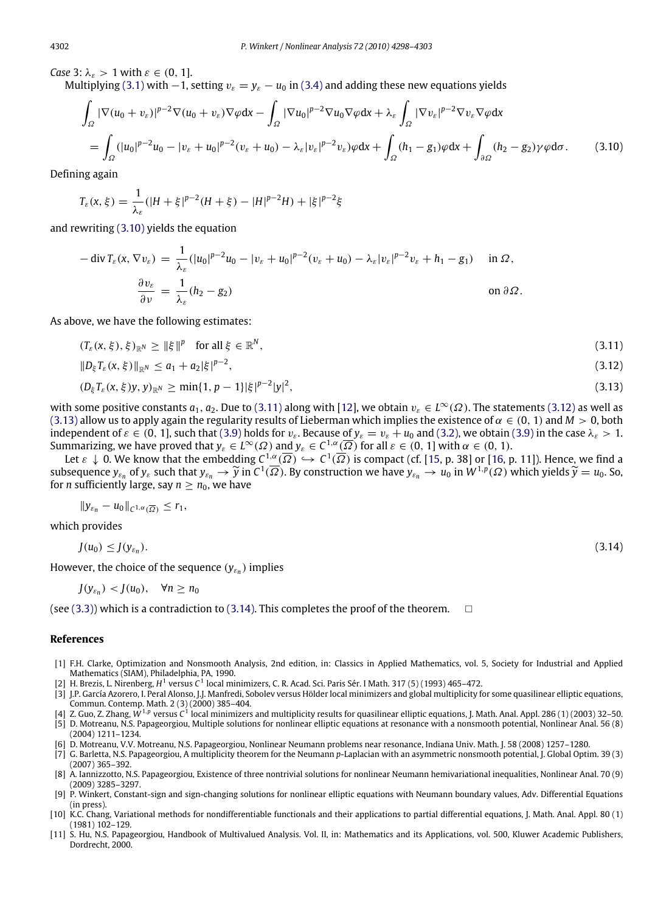*Case* 3:  $\lambda_{\varepsilon} > 1$  with  $\varepsilon \in (0, 1]$ .

Multiplying [\(3.1\)](#page-2-1) with  $-1$ , setting  $v_{\varepsilon} = y_{\varepsilon} - u_0$  in [\(3.4\)](#page-3-0) and adding these new equations yields

$$
\int_{\Omega} |\nabla (u_0 + v_{\varepsilon})|^{p-2} \nabla (u_0 + v_{\varepsilon}) \nabla \varphi dx - \int_{\Omega} |\nabla u_0|^{p-2} \nabla u_0 \nabla \varphi dx + \lambda_{\varepsilon} \int_{\Omega} |\nabla v_{\varepsilon}|^{p-2} \nabla v_{\varepsilon} \nabla \varphi dx
$$
\n
$$
= \int_{\Omega} (|u_0|^{p-2} u_0 - |v_{\varepsilon} + u_0|^{p-2} (v_{\varepsilon} + u_0) - \lambda_{\varepsilon} |v_{\varepsilon}|^{p-2} v_{\varepsilon}) \varphi dx + \int_{\Omega} (h_1 - g_1) \varphi dx + \int_{\partial \Omega} (h_2 - g_2) \gamma \varphi d\sigma. \tag{3.10}
$$

Defining again

<span id="page-4-11"></span>
$$
T_{\varepsilon}(x,\xi) = \frac{1}{\lambda_{\varepsilon}} (|H + \xi|^{p-2} (H + \xi) - |H|^{p-2} H) + |\xi|^{p-2} \xi
$$

and rewriting [\(3.10\)](#page-4-11) yields the equation

$$
-\operatorname{div} T_{\varepsilon}(x, \nabla v_{\varepsilon}) = \frac{1}{\lambda_{\varepsilon}} (|u_0|^{p-2} u_0 - |v_{\varepsilon} + u_0|^{p-2} (v_{\varepsilon} + u_0) - \lambda_{\varepsilon} |v_{\varepsilon}|^{p-2} v_{\varepsilon} + h_1 - g_1) \quad \text{in } \Omega,
$$

$$
\frac{\partial v_{\varepsilon}}{\partial v} = \frac{1}{\lambda_{\varepsilon}} (h_2 - g_2) \quad \text{on } \partial \Omega.
$$

As above, we have the following estimates:

$$
(T_{\varepsilon}(x,\xi),\xi)_{\mathbb{R}^N} \ge \|\xi\|^p \quad \text{for all } \xi \in \mathbb{R}^N,
$$
\n(3.11)

<span id="page-4-13"></span><span id="page-4-12"></span>
$$
||D_{\xi}T_{\varepsilon}(x,\xi)||_{\mathbb{R}^{N}} \leq a_{1} + a_{2}|\xi|^{p-2}, \tag{3.12}
$$

<span id="page-4-14"></span>
$$
(D_{\xi}T_{\varepsilon}(x,\xi)y,y)_{\mathbb{R}^N} \geq \min\{1,p-1\}|\xi|^{p-2}|y|^2,
$$
\n(3.13)

with some positive constants  $a_1, a_2$ . Due to [\(3.11\)](#page-4-12) along with [\[12\]](#page-5-0), we obtain  $v_\varepsilon \in L^\infty(\Omega)$ . The statements [\(3.12\)](#page-4-13) as well as [\(3.13\)](#page-4-14) allow us to apply again the regularity results of Lieberman which implies the existence of  $\alpha \in (0, 1)$  and  $M > 0$ , both independent of  $\varepsilon \in (0, 1]$ , such that [\(3.9\)](#page-3-5) holds for  $v_{\varepsilon}$ . Because of  $y_{\varepsilon} = v_{\varepsilon} + u_0$  and [\(3.2\),](#page-2-2) we obtain (3.9) in the case  $\lambda_{\varepsilon} > 1$ . Summarizing, we have proved that  $y_{\varepsilon} \in L^{\infty}(\Omega)$  and  $y_{\varepsilon} \in C^{1,\alpha}(\overline{\Omega})$  for all  $\varepsilon \in (0, 1]$  with  $\alpha \in (0, 1)$ .

Let  $\varepsilon\downarrow0.$  We know that the embedding  $C^{1,\alpha}(\overline\varOmega)\hookrightarrow C^1(\overline\varOmega)$  is compact (cf. [\[15,](#page-5-3) p. 38] or [\[16,](#page-5-4) p. 11]). Hence, we find a subsequence  $y_{\varepsilon_n}$  of  $y_{\varepsilon}$  such that  $y_{\varepsilon_n} \to \widetilde{y}$  in  $C^1(\overline{\Omega})$ . By construction we have  $y_{\varepsilon_n} \to u_0$  in  $W^{1,p}(\Omega)$  which yields  $\widetilde{y} = u_0$ . So, for *n* sufficiently large say  $n > n_0$  we have for *n* sufficiently large, say  $n \geq n_0$ , we have

<span id="page-4-15"></span>
$$
||y_{\varepsilon_n}-u_0||_{C^{1,\alpha}(\overline{\Omega})}\leq r_1,
$$

which provides

$$
J(u_0) \leq J(\mathbf{y}_{\varepsilon_n}). \tag{3.14}
$$

However, the choice of the sequence (*y*ε*<sup>n</sup>* ) implies

$$
J(y_{\varepsilon_n}) < J(u_0), \quad \forall n \ge n_0
$$

(see [\(3.3\)\)](#page-2-3) which is a contradiction to [\(3.14\).](#page-4-15) This completes the proof of the theorem.  $\square$ 

## **References**

- <span id="page-4-0"></span>[1] F.H. Clarke, Optimization and Nonsmooth Analysis, 2nd edition, in: Classics in Applied Mathematics, vol. 5, Society for Industrial and Applied Mathematics (SIAM), Philadelphia, PA, 1990.
- <span id="page-4-1"></span>[2] H. Brezis, L. Nirenberg, *H* 1 versus *C* 1 local minimizers, C. R. Acad. Sci. Paris Sér. I Math. 317 (5) (1993) 465–472.
- <span id="page-4-2"></span>[3] J.P. García Azorero, I. Peral Alonso, J.J. Manfredi, Sobolev versus Hölder local minimizers and global multiplicity for some quasilinear elliptic equations, Commun. Contemp. Math. 2 (3) (2000) 385–404.
- <span id="page-4-4"></span><span id="page-4-3"></span>[4] Z. Guo, Z. Zhang, *W*<sup>1</sup>,*<sup>p</sup>* versus *C* 1 local minimizers and multiplicity results for quasilinear elliptic equations, J. Math. Anal. Appl. 286 (1) (2003) 32–50. [5] D. Motreanu, N.S. Papageorgiou, Multiple solutions for nonlinear elliptic equations at resonance with a nonsmooth potential, Nonlinear Anal. 56 (8) (2004) 1211–1234.
- <span id="page-4-5"></span>[6] D. Motreanu, V.V. Motreanu, N.S. Papageorgiou, Nonlinear Neumann problems near resonance, Indiana Univ. Math. J. 58 (2008) 1257–1280.
- <span id="page-4-6"></span>[7] G. Barletta, N.S. Papageorgiou, A multiplicity theorem for the Neumann *p*-Laplacian with an asymmetric nonsmooth potential, J. Global Optim. 39 (3) (2007) 365–392.
- <span id="page-4-7"></span>[8] A. Iannizzotto, N.S. Papageorgiou, Existence of three nontrivial solutions for nonlinear Neumann hemivariational inequalities, Nonlinear Anal. 70 (9) (2009) 3285–3297.
- <span id="page-4-8"></span>[9] P. Winkert, Constant-sign and sign-changing solutions for nonlinear elliptic equations with Neumann boundary values, Adv. Differential Equations (in press).
- <span id="page-4-9"></span>[10] K.C. Chang, Variational methods for nondifferentiable functionals and their applications to partial differential equations, J. Math. Anal. Appl. 80 (1) (1981) 102–129.
- <span id="page-4-10"></span>[11] S. Hu, N.S. Papageorgiou, Handbook of Multivalued Analysis. Vol. II, in: Mathematics and its Applications, vol. 500, Kluwer Academic Publishers, Dordrecht, 2000.